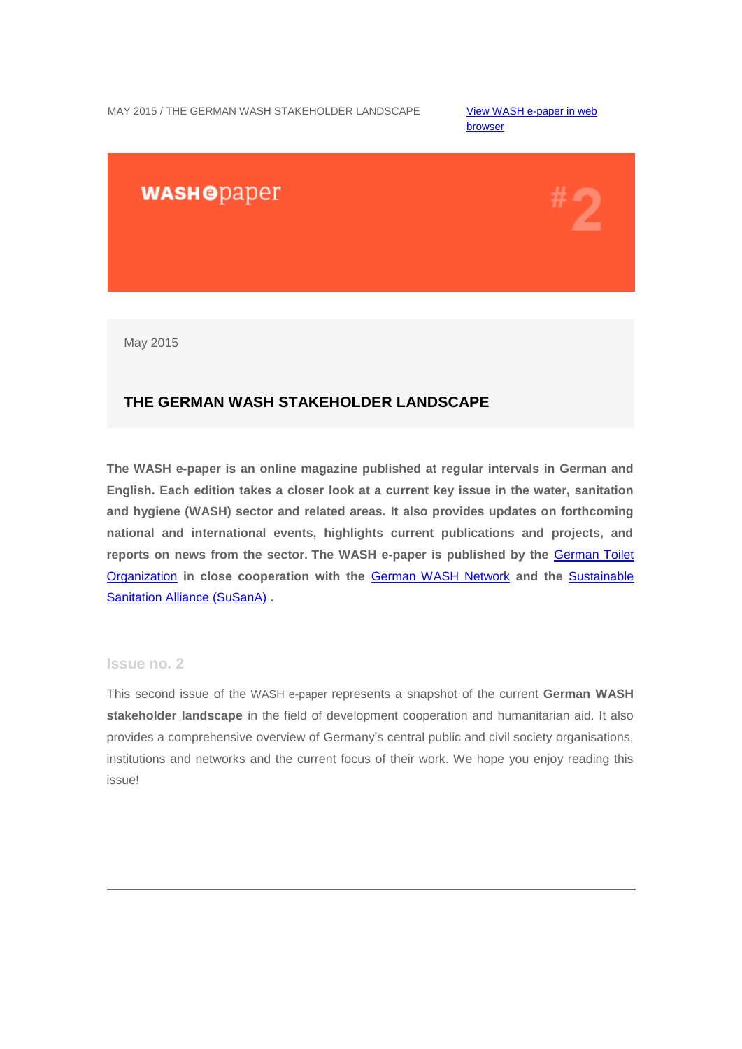MAY 2015 / THE GERMAN WASH STAKEHOLDER LANDSCAPE View WASH e-paper in web

[browser](http://us4.campaign-archive2.com/?u=bc3ae3e573afc6e78bf46bfd1&id=ce8d91ef74&e=95dd51893c) 

# **WASHODaper**

May 2015

## **THE GERMAN WASH STAKEHOLDER LANDSCAPE**

**The WASH e-paper is an online magazine published at regular intervals in German and English. Each edition takes a closer look at a current key issue in the water, sanitation and hygiene (WASH) sector and related areas. It also provides updates on forthcoming national and international events, highlights current publications and projects, and reports on news from the sector. The WASH e-paper is published by the** [German Toilet](http://germantoilet.us4.list-manage.com/track/click?u=bc3ae3e573afc6e78bf46bfd1&id=638fbc1c54&e=95dd51893c)  [Organization](http://germantoilet.us4.list-manage.com/track/click?u=bc3ae3e573afc6e78bf46bfd1&id=638fbc1c54&e=95dd51893c) **in close cooperation with the** [German WASH](http://germantoilet.us4.list-manage.com/track/click?u=bc3ae3e573afc6e78bf46bfd1&id=823c9fafed&e=95dd51893c) Network **and the** [Sustainable](http://germantoilet.us4.list-manage2.com/track/click?u=bc3ae3e573afc6e78bf46bfd1&id=44dc3975e5&e=95dd51893c)  [Sanitation Alliance](http://germantoilet.us4.list-manage2.com/track/click?u=bc3ae3e573afc6e78bf46bfd1&id=44dc3975e5&e=95dd51893c) (SuSanA) **.**

### **Issue no. 2**

This second issue of the WASH e-paper represents a snapshot of the current **German WASH stakeholder landscape** in the field of development cooperation and humanitarian aid. It also provides a comprehensive overview of Germany's central public and civil society organisations, institutions and networks and the current focus of their work. We hope you enjoy reading this issue!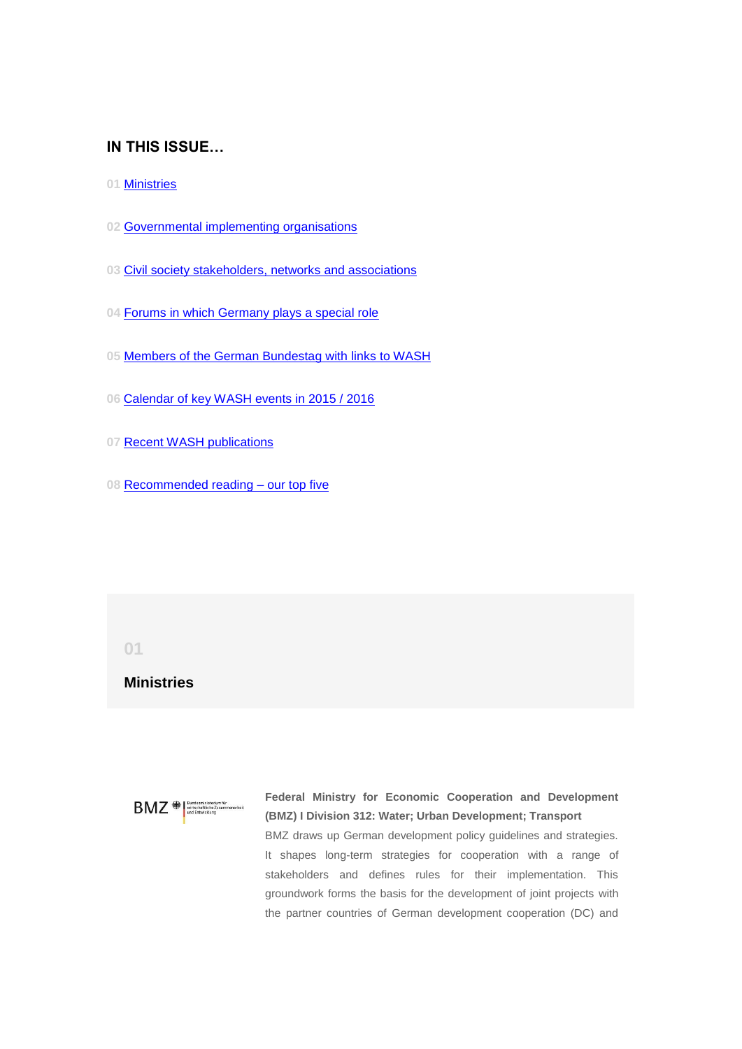### **IN THIS ISSUE…**

- **01** [Ministries](#page-1-0)
- **02** [Governmental implementing organisations](#page-5-0)
- **03** [Civil society stakeholders, networks and associations](#page-7-0)
- **04** [Forums in which Germany plays a special role](#page-11-0)
- **05** [Members of the German Bundestag with links to WASH](#page-12-0)
- **06** [Calendar of key WASH events in 2015 / 2016](#page-16-0)
- **07** [Recent WASH publications](#page-19-0)
- **08** [Recommended reading –](#page-22-0) our top five

### <span id="page-1-0"></span>**01**

## **Ministries**

 $B\text{MZ} \textcolor{red}{\bullet} \text{Pundesministerium für}$ 

**Federal Ministry for Economic Cooperation and Development (BMZ) I Division 312: Water; Urban Development; Transport** BMZ draws up German development policy guidelines and strategies. It shapes long-term strategies for cooperation with a range of stakeholders and defines rules for their implementation. This groundwork forms the basis for the development of joint projects with the partner countries of German development cooperation (DC) and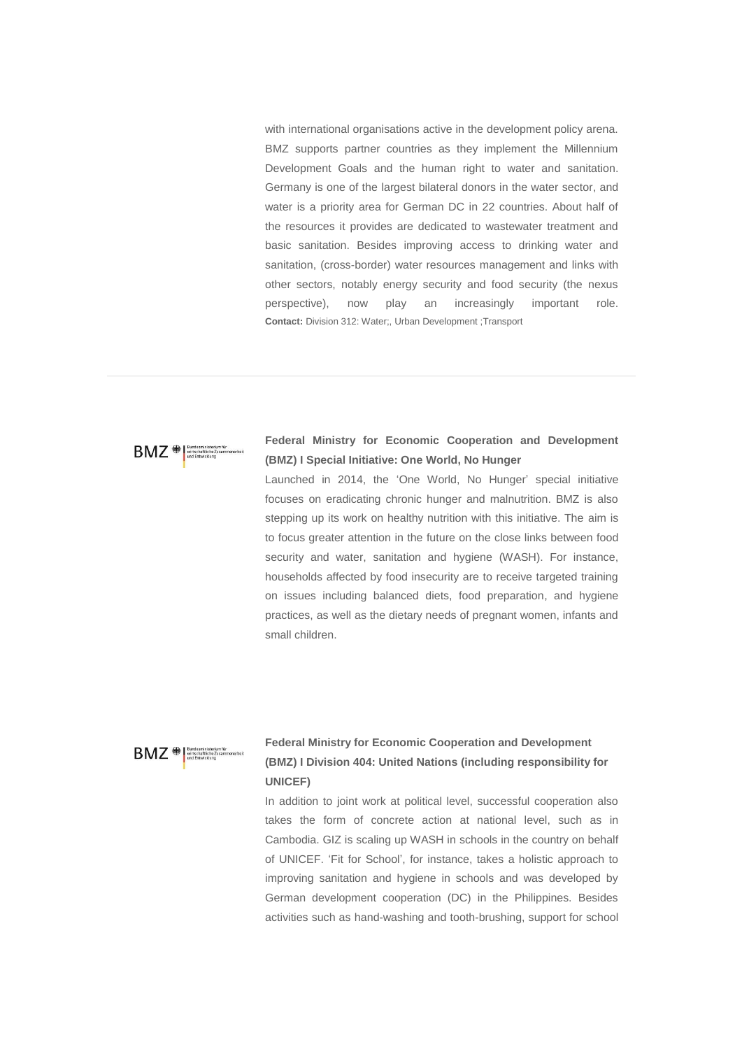with international organisations active in the development policy arena. BMZ supports partner countries as they implement the Millennium Development Goals and the human right to water and sanitation. Germany is one of the largest bilateral donors in the water sector, and water is a priority area for German DC in 22 countries. About half of the resources it provides are dedicated to wastewater treatment and basic sanitation. Besides improving access to drinking water and sanitation, (cross-border) water resources management and links with other sectors, notably energy security and food security (the nexus perspective), now play an increasingly important role. **Contact:** Division 312: Water;, Urban Development ;Transport

### **BMZ** W wirtschaftliche Zusammenarbei

### **Federal Ministry for Economic Cooperation and Development (BMZ) I Special Initiative: One World, No Hunger**

Launched in 2014, the 'One World, No Hunger' special initiative focuses on eradicating chronic hunger and malnutrition. BMZ is also stepping up its work on healthy nutrition with this initiative. The aim is to focus greater attention in the future on the close links between food security and water, sanitation and hygiene (WASH). For instance, households affected by food insecurity are to receive targeted training on issues including balanced diets, food preparation, and hygiene practices, as well as the dietary needs of pregnant women, infants and small children.



## **Federal Ministry for Economic Cooperation and Development (BMZ) I Division 404: United Nations (including responsibility for UNICEF)**

In addition to joint work at political level, successful cooperation also takes the form of concrete action at national level, such as in Cambodia. GIZ is scaling up WASH in schools in the country on behalf of UNICEF. 'Fit for School', for instance, takes a holistic approach to improving sanitation and hygiene in schools and was developed by German development cooperation (DC) in the Philippines. Besides activities such as hand-washing and tooth-brushing, support for school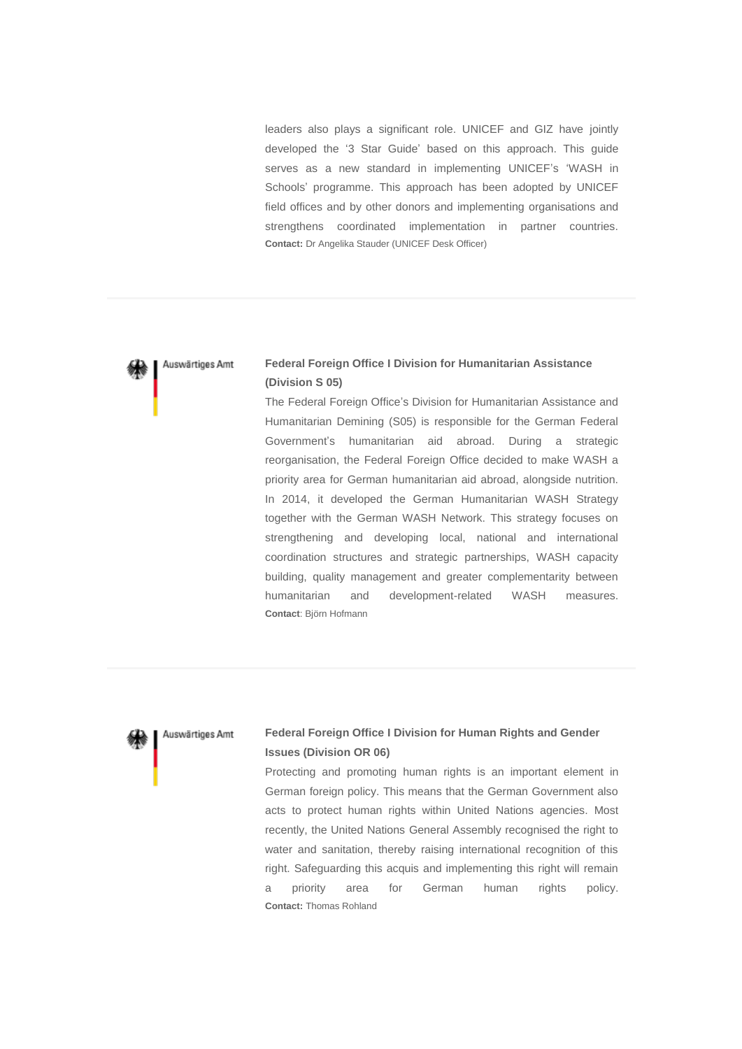leaders also plays a significant role. UNICEF and GIZ have jointly developed the '3 Star Guide' based on this approach. This guide serves as a new standard in implementing UNICEF's 'WASH in Schools' programme. This approach has been adopted by UNICEF field offices and by other donors and implementing organisations and strengthens coordinated implementation in partner countries. **Contact:** Dr Angelika Stauder (UNICEF Desk Officer)

#### Auswärtiges Amt

### **Federal Foreign Office I Division for Humanitarian Assistance (Division S 05)**

The Federal Foreign Office's Division for Humanitarian Assistance and Humanitarian Demining (S05) is responsible for the German Federal Government's humanitarian aid abroad. During a strategic reorganisation, the Federal Foreign Office decided to make WASH a priority area for German humanitarian aid abroad, alongside nutrition. In 2014, it developed the German Humanitarian WASH Strategy together with the German WASH Network. This strategy focuses on strengthening and developing local, national and international coordination structures and strategic partnerships, WASH capacity building, quality management and greater complementarity between humanitarian and development-related WASH measures. **Contact**: Björn Hofmann



### **Federal Foreign Office I Division for Human Rights and Gender Issues (Division OR 06)**

Protecting and promoting human rights is an important element in German foreign policy. This means that the German Government also acts to protect human rights within United Nations agencies. Most recently, the United Nations General Assembly recognised the right to water and sanitation, thereby raising international recognition of this right. Safeguarding this acquis and implementing this right will remain a priority area for German human rights policy. **Contact:** Thomas Rohland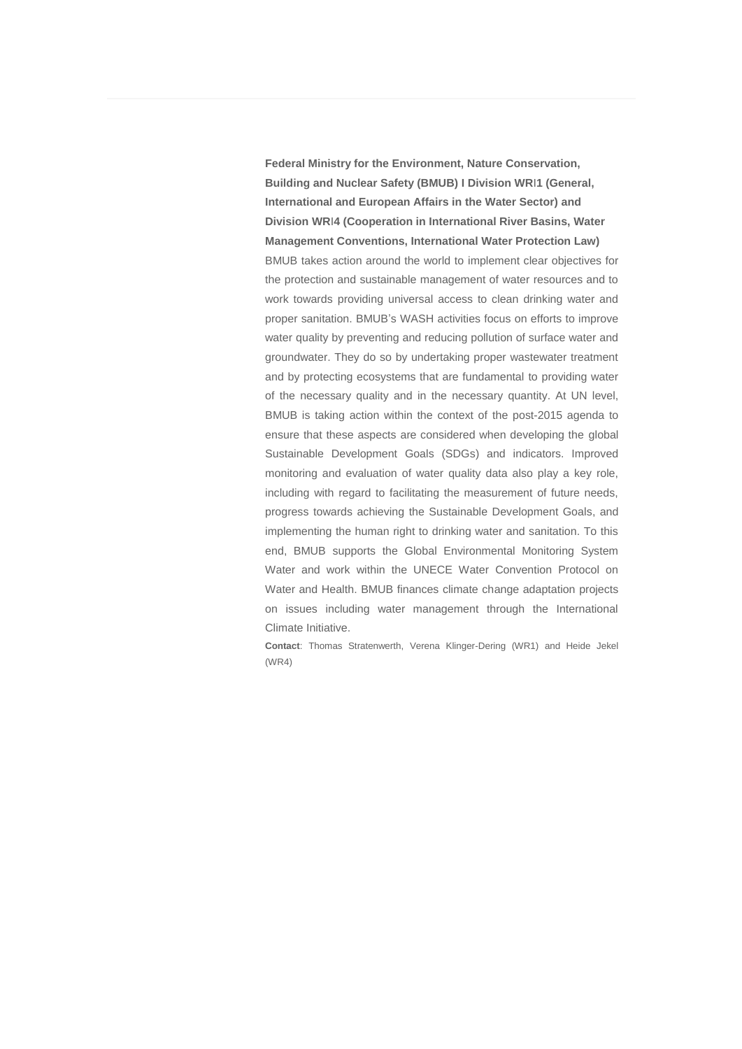**Federal Ministry for the Environment, Nature Conservation, Building and Nuclear Safety (BMUB) I Division WR**I**1 (General, International and European Affairs in the Water Sector) and Division WR**I**4 (Cooperation in International River Basins, Water Management Conventions, International Water Protection Law)** BMUB takes action around the world to implement clear objectives for the protection and sustainable management of water resources and to work towards providing universal access to clean drinking water and proper sanitation. BMUB's WASH activities focus on efforts to improve water quality by preventing and reducing pollution of surface water and groundwater. They do so by undertaking proper wastewater treatment and by protecting ecosystems that are fundamental to providing water of the necessary quality and in the necessary quantity. At UN level, BMUB is taking action within the context of the post-2015 agenda to ensure that these aspects are considered when developing the global Sustainable Development Goals (SDGs) and indicators. Improved monitoring and evaluation of water quality data also play a key role, including with regard to facilitating the measurement of future needs, progress towards achieving the Sustainable Development Goals, and implementing the human right to drinking water and sanitation. To this end, BMUB supports the Global Environmental Monitoring System Water and work within the UNECE Water Convention Protocol on Water and Health. BMUB finances climate change adaptation projects on issues including water management through the International Climate Initiative.

**Contact**: Thomas Stratenwerth, Verena Klinger-Dering (WR1) and Heide Jekel (WR4)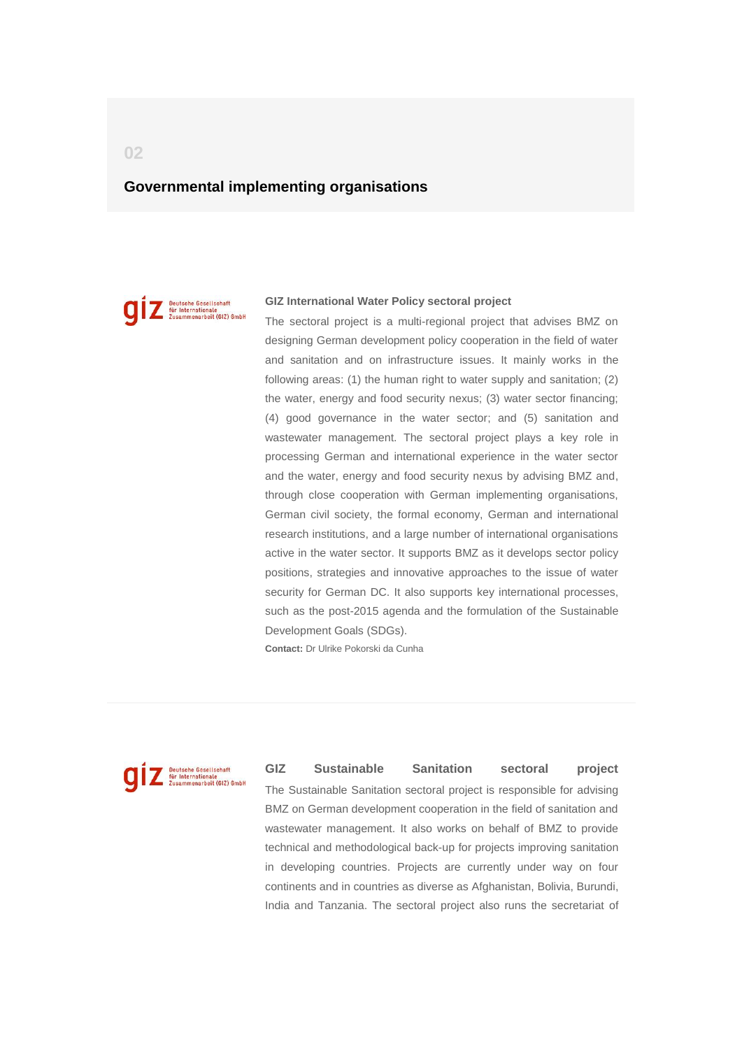### <span id="page-5-0"></span>**Governmental implementing organisations**

Deutsche Gesellschaft<br>für Internationale<br>Zusammenarbeit (GIZ) GmbH

#### **GIZ International Water Policy sectoral project**

The sectoral project is a multi-regional project that advises BMZ on designing German development policy cooperation in the field of water and sanitation and on infrastructure issues. It mainly works in the following areas: (1) the human right to water supply and sanitation; (2) the water, energy and food security nexus; (3) water sector financing; (4) good governance in the water sector; and (5) sanitation and wastewater management. The sectoral project plays a key role in processing German and international experience in the water sector and the water, energy and food security nexus by advising BMZ and, through close cooperation with German implementing organisations, German civil society, the formal economy, German and international research institutions, and a large number of international organisations active in the water sector. It supports BMZ as it develops sector policy positions, strategies and innovative approaches to the issue of water security for German DC. It also supports key international processes, such as the post-2015 agenda and the formulation of the Sustainable Development Goals (SDGs).

**Contact:** Dr Ulrike Pokorski da Cunha



**GIZ Sustainable Sanitation sectoral project** The Sustainable Sanitation sectoral project is responsible for advising BMZ on German development cooperation in the field of sanitation and wastewater management. It also works on behalf of BMZ to provide technical and methodological back-up for projects improving sanitation in developing countries. Projects are currently under way on four continents and in countries as diverse as Afghanistan, Bolivia, Burundi, India and Tanzania. The sectoral project also runs the secretariat of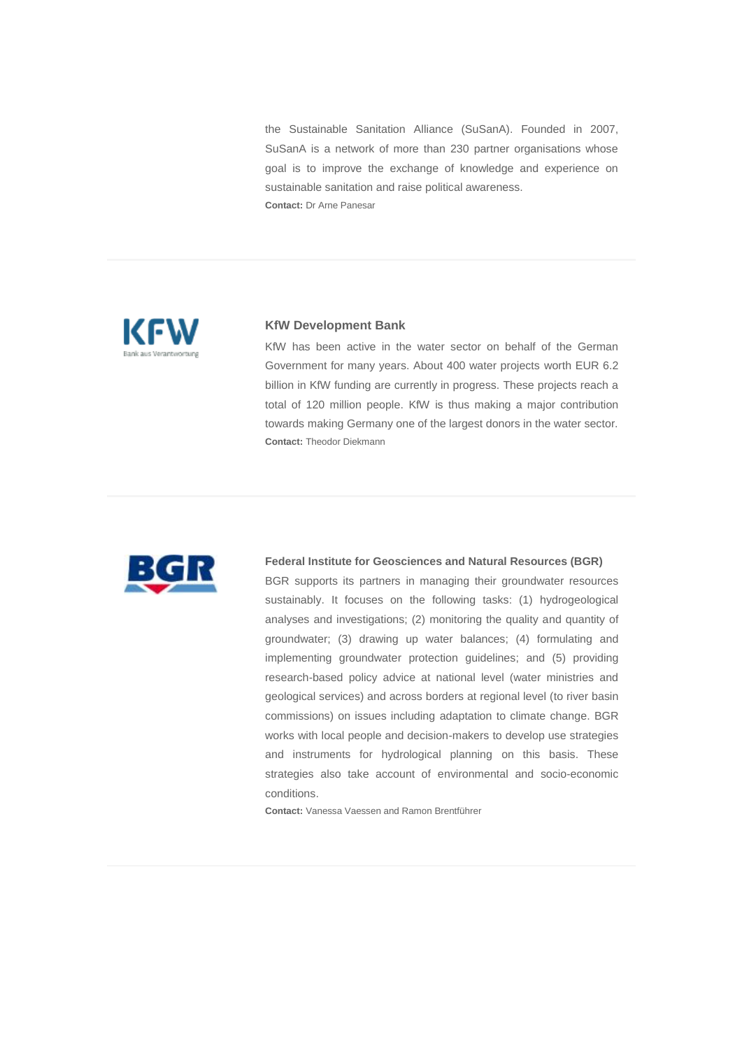the Sustainable Sanitation Alliance (SuSanA). Founded in 2007, SuSanA is a network of more than 230 partner organisations whose goal is to improve the exchange of knowledge and experience on sustainable sanitation and raise political awareness. **Contact:** Dr Arne Panesar



#### **KfW Development Bank**

KfW has been active in the water sector on behalf of the German Government for many years. About 400 water projects worth EUR 6.2 billion in KfW funding are currently in progress. These projects reach a total of 120 million people. KfW is thus making a major contribution towards making Germany one of the largest donors in the water sector. **Contact:** Theodor Diekmann



#### **Federal Institute for Geosciences and Natural Resources (BGR)**

BGR supports its partners in managing their groundwater resources sustainably. It focuses on the following tasks: (1) hydrogeological analyses and investigations; (2) monitoring the quality and quantity of groundwater; (3) drawing up water balances; (4) formulating and implementing groundwater protection guidelines; and (5) providing research-based policy advice at national level (water ministries and geological services) and across borders at regional level (to river basin commissions) on issues including adaptation to climate change. BGR works with local people and decision-makers to develop use strategies and instruments for hydrological planning on this basis. These strategies also take account of environmental and socio-economic conditions.

**Contact:** Vanessa Vaessen and Ramon Brentführer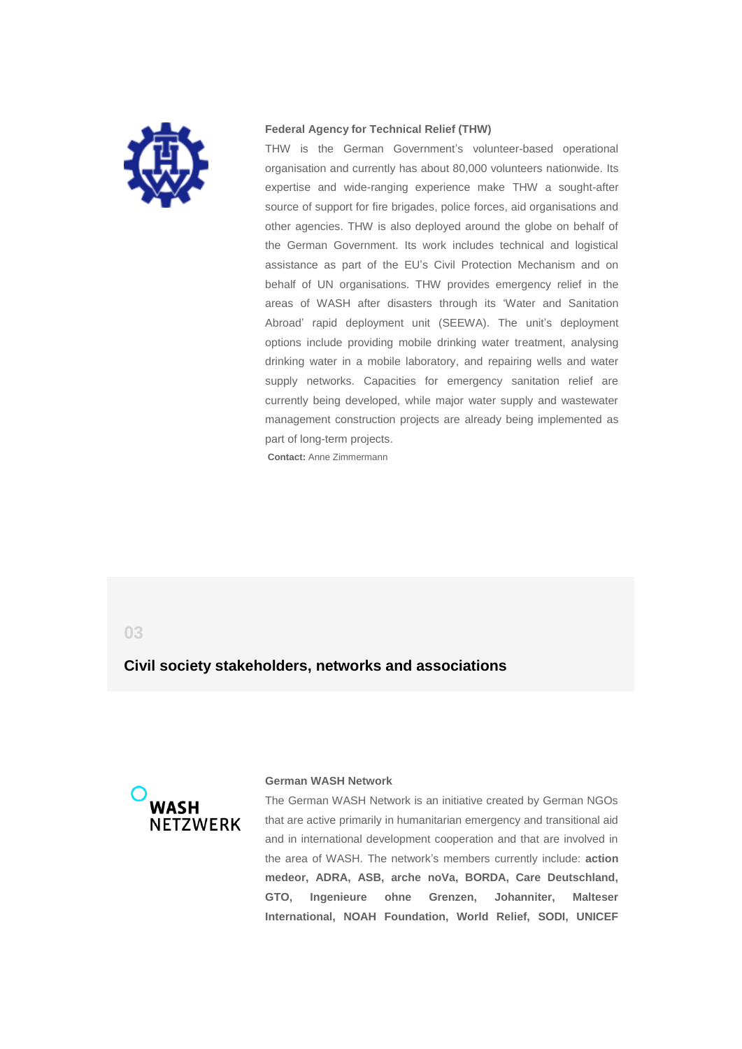

#### **Federal Agency for Technical Relief (THW)**

THW is the German Government's volunteer-based operational organisation and currently has about 80,000 volunteers nationwide. Its expertise and wide-ranging experience make THW a sought-after source of support for fire brigades, police forces, aid organisations and other agencies. THW is also deployed around the globe on behalf of the German Government. Its work includes technical and logistical assistance as part of the EU's Civil Protection Mechanism and on behalf of UN organisations. THW provides emergency relief in the areas of WASH after disasters through its 'Water and Sanitation Abroad' rapid deployment unit (SEEWA). The unit's deployment options include providing mobile drinking water treatment, analysing drinking water in a mobile laboratory, and repairing wells and water supply networks. Capacities for emergency sanitation relief are currently being developed, while major water supply and wastewater management construction projects are already being implemented as part of long-term projects.

**Contact:** Anne Zimmermann

### <span id="page-7-0"></span>**03**

### **Civil society stakeholders, networks and associations**



#### **German WASH Network**

The German WASH Network is an initiative created by German NGOs that are active primarily in humanitarian emergency and transitional aid and in international development cooperation and that are involved in the area of WASH. The network's members currently include: **action medeor, ADRA, ASB, arche noVa, BORDA, Care Deutschland, GTO, Ingenieure ohne Grenzen, Johanniter, Malteser International, NOAH Foundation, World Relief, SODI, UNICEF**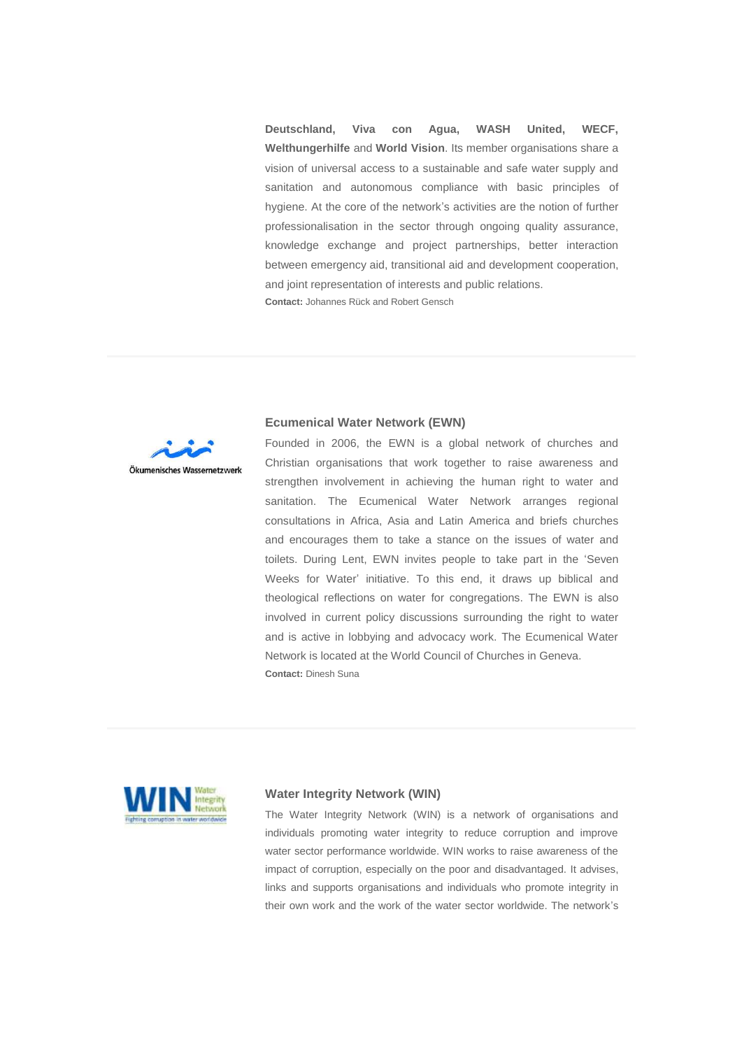**Deutschland, Viva con Agua, WASH United, WECF, Welthungerhilfe** and **World Vision**. Its member organisations share a vision of universal access to a sustainable and safe water supply and sanitation and autonomous compliance with basic principles of hygiene. At the core of the network's activities are the notion of further professionalisation in the sector through ongoing quality assurance, knowledge exchange and project partnerships, better interaction between emergency aid, transitional aid and development cooperation, and joint representation of interests and public relations. **Contact:** Johannes Rück and Robert Gensch



#### **Ecumenical Water Network (EWN)**

Founded in 2006, the EWN is a global network of churches and Christian organisations that work together to raise awareness and strengthen involvement in achieving the human right to water and sanitation. The Ecumenical Water Network arranges regional consultations in Africa, Asia and Latin America and briefs churches and encourages them to take a stance on the issues of water and toilets. During Lent, EWN invites people to take part in the 'Seven Weeks for Water' initiative. To this end, it draws up biblical and theological reflections on water for congregations. The EWN is also involved in current policy discussions surrounding the right to water and is active in lobbying and advocacy work. The Ecumenical Water Network is located at the World Council of Churches in Geneva. **Contact:** Dinesh Suna



#### **Water Integrity Network (WIN)**

The Water Integrity Network (WIN) is a network of organisations and individuals promoting water integrity to reduce corruption and improve water sector performance worldwide. WIN works to raise awareness of the impact of corruption, especially on the poor and disadvantaged. It advises, links and supports organisations and individuals who promote integrity in their own work and the work of the water sector worldwide. The network's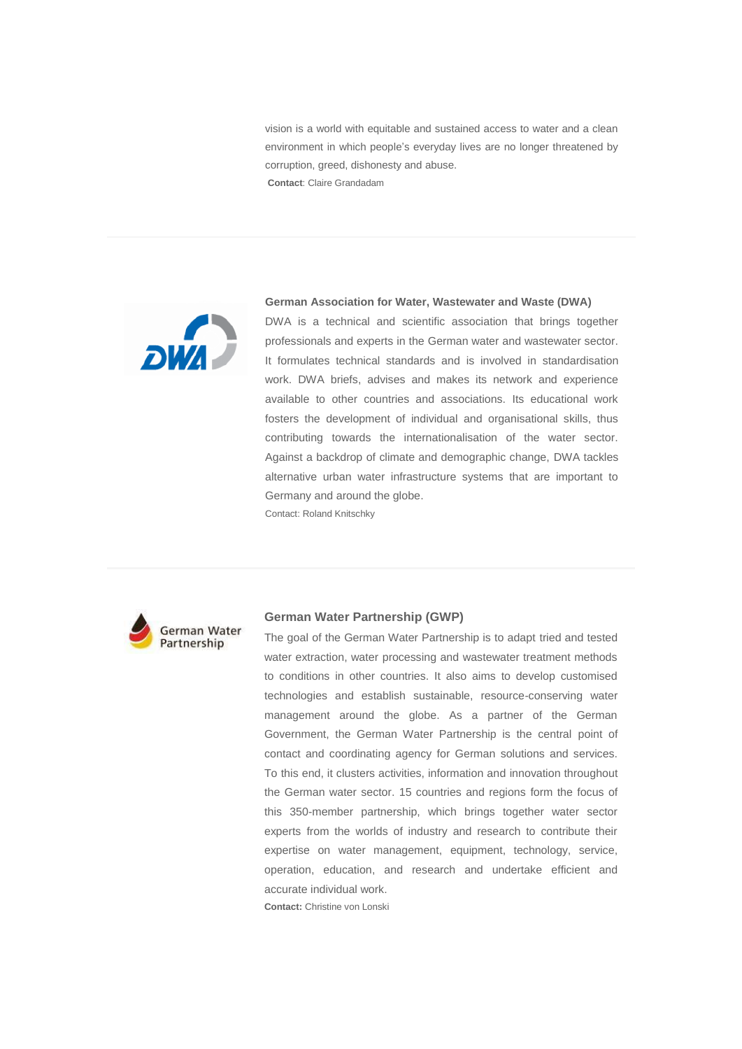vision is a world with equitable and sustained access to water and a clean environment in which people's everyday lives are no longer threatened by corruption, greed, dishonesty and abuse. **Contact**: Claire Grandadam

**DWA** 

#### **German Association for Water, Wastewater and Waste (DWA)**

DWA is a technical and scientific association that brings together professionals and experts in the German water and wastewater sector. It formulates technical standards and is involved in standardisation work. DWA briefs, advises and makes its network and experience available to other countries and associations. Its educational work fosters the development of individual and organisational skills, thus contributing towards the internationalisation of the water sector. Against a backdrop of climate and demographic change, DWA tackles alternative urban water infrastructure systems that are important to Germany and around the globe.

Contact: Roland Knitschky



#### **German Water Partnership (GWP)**

The goal of the German Water Partnership is to adapt tried and tested water extraction, water processing and wastewater treatment methods to conditions in other countries. It also aims to develop customised technologies and establish sustainable, resource-conserving water management around the globe. As a partner of the German Government, the German Water Partnership is the central point of contact and coordinating agency for German solutions and services. To this end, it clusters activities, information and innovation throughout the German water sector. 15 countries and regions form the focus of this 350-member partnership, which brings together water sector experts from the worlds of industry and research to contribute their expertise on water management, equipment, technology, service, operation, education, and research and undertake efficient and accurate individual work.

**Contact:** Christine von Lonski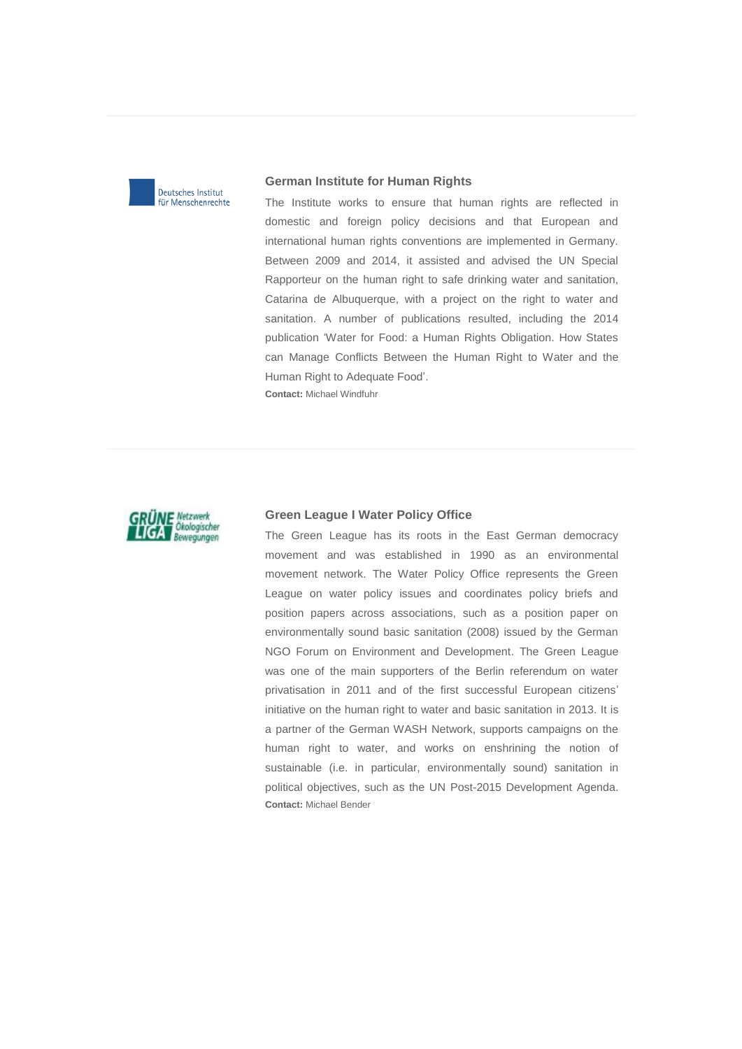

#### **German Institute for Human Rights**

The Institute works to ensure that human rights are reflected in domestic and foreign policy decisions and that European and international human rights conventions are implemented in Germany. Between 2009 and 2014, it assisted and advised the UN Special Rapporteur on the human right to safe drinking water and sanitation, Catarina de Albuquerque, with a project on the right to water and sanitation. A number of publications resulted, including the 2014 publication 'Water for Food: a Human Rights Obligation. How States can Manage Conflicts Between the Human Right to Water and the Human Right to Adequate Food'.

**Contact:** Michael Windfuhr



#### **Green League I Water Policy Office**

The Green League has its roots in the East German democracy movement and was established in 1990 as an environmental movement network. The Water Policy Office represents the Green League on water policy issues and coordinates policy briefs and position papers across associations, such as a position paper on environmentally sound basic sanitation (2008) issued by the German NGO Forum on Environment and Development. The Green League was one of the main supporters of the Berlin referendum on water privatisation in 2011 and of the first successful European citizens' initiative on the human right to water and basic sanitation in 2013. It is a partner of the German WASH Network, supports campaigns on the human right to water, and works on enshrining the notion of sustainable (i.e. in particular, environmentally sound) sanitation in political objectives, such as the UN Post-2015 Development Agenda. **Contact:** Michael Bender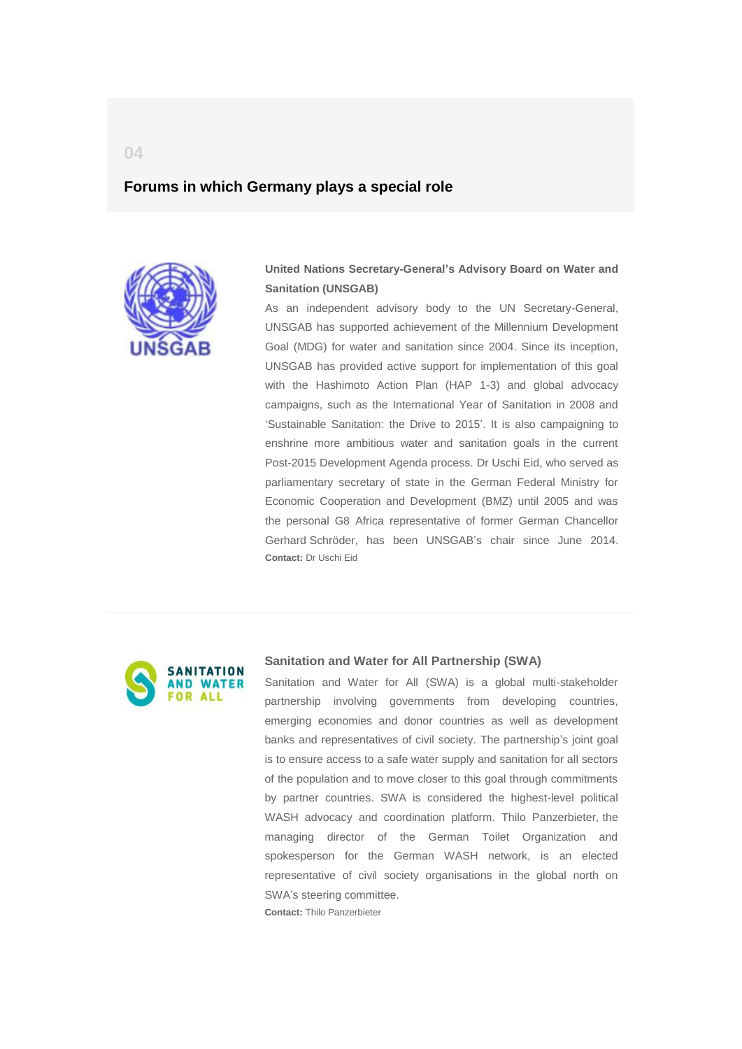### <span id="page-11-0"></span>**Forums in which Germany plays a special role**



**United Nations Secretary-General's Advisory Board on Water and Sanitation (UNSGAB)**

As an independent advisory body to the UN Secretary-General, UNSGAB has supported achievement of the Millennium Development Goal (MDG) for water and sanitation since 2004. Since its inception, UNSGAB has provided active support for implementation of this goal with the Hashimoto Action Plan (HAP 1-3) and global advocacy campaigns, such as the International Year of Sanitation in 2008 and 'Sustainable Sanitation: the Drive to 2015'. It is also campaigning to enshrine more ambitious water and sanitation goals in the current Post-2015 Development Agenda process. Dr Uschi Eid, who served as parliamentary secretary of state in the German Federal Ministry for Economic Cooperation and Development (BMZ) until 2005 and was the personal G8 Africa representative of former German Chancellor Gerhard Schröder, has been UNSGAB's chair since June 2014. **Contact:** Dr Uschi Eid



#### **Sanitation and Water for All Partnership (SWA)**

Sanitation and Water for All (SWA) is a global multi-stakeholder partnership involving governments from developing countries, emerging economies and donor countries as well as development banks and representatives of civil society. The partnership's joint goal is to ensure access to a safe water supply and sanitation for all sectors of the population and to move closer to this goal through commitments by partner countries. SWA is considered the highest-level political WASH advocacy and coordination platform. Thilo Panzerbieter, the managing director of the German Toilet Organization and spokesperson for the German WASH network, is an elected representative of civil society organisations in the global north on SWA's steering committee.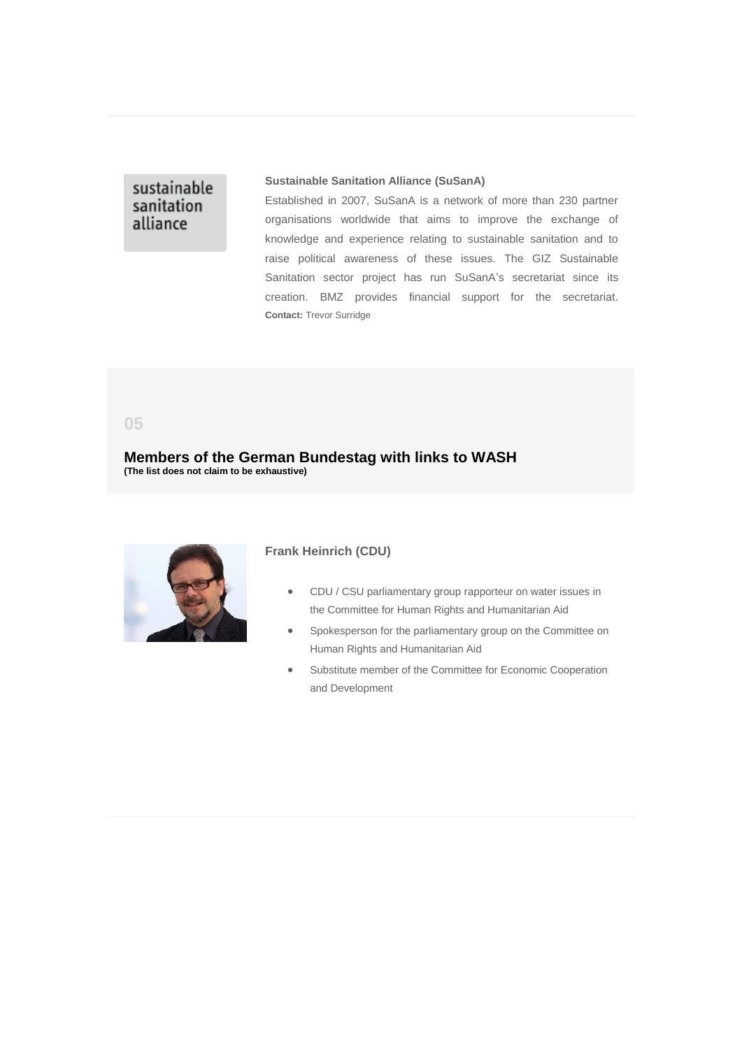## sustainable sanitation alliance

#### **Sustainable Sanitation Alliance (SuSanA)**

Established in 2007, SuSanA is a network of more than 230 partner organisations worldwide that aims to improve the exchange of knowledge and experience relating to sustainable sanitation and to raise political awareness of these issues. The GIZ Sustainable Sanitation sector project has run SuSanA's secretariat since its creation. BMZ provides financial support for the secretariat. **Contact:** Trevor Surridge

<span id="page-12-0"></span>**05**

**Members of the German Bundestag with links to WASH (The list does not claim to be exhaustive)**



### **Frank Heinrich (CDU)**

- CDU / CSU parliamentary group rapporteur on water issues in the Committee for Human Rights and Humanitarian Aid
- Spokesperson for the parliamentary group on the Committee on Human Rights and Humanitarian Aid
- Substitute member of the Committee for Economic Cooperation and Development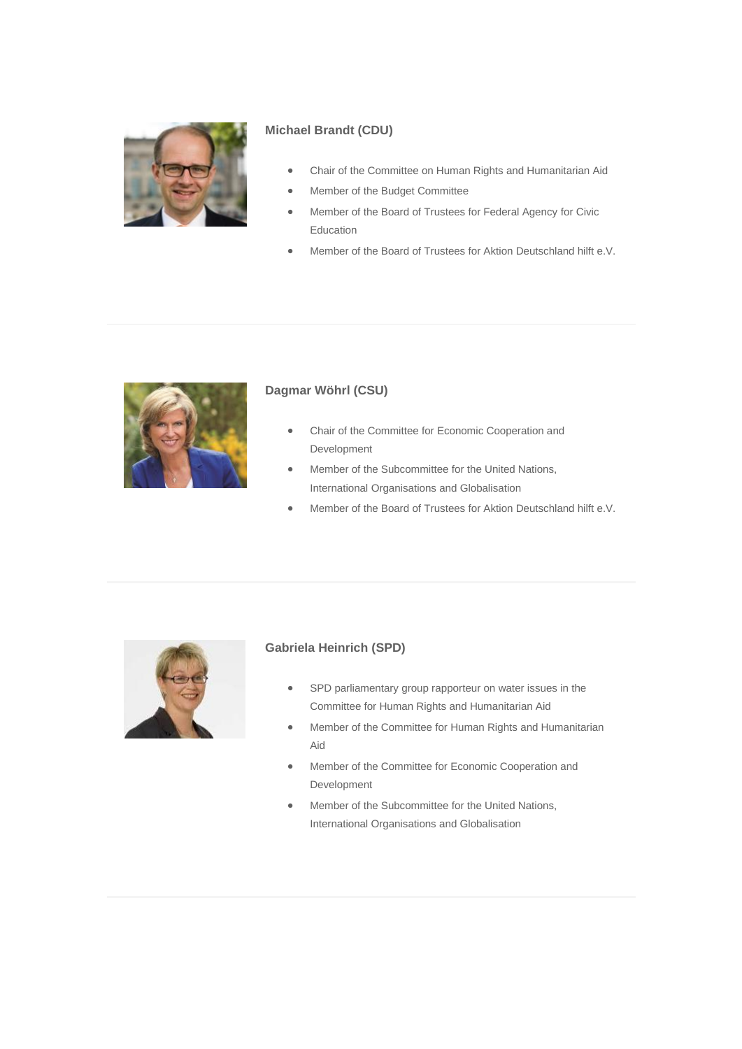

### **Michael Brandt (CDU)**

- Chair of the Committee on Human Rights and Humanitarian Aid
- Member of the Budget Committee
- Member of the Board of Trustees for Federal Agency for Civic Education
- Member of the Board of Trustees for Aktion Deutschland hilft e.V.



### **Dagmar Wöhrl (CSU)**

- Chair of the Committee for Economic Cooperation and Development
- Member of the Subcommittee for the United Nations, International Organisations and Globalisation
- Member of the Board of Trustees for Aktion Deutschland hilft e.V.



### **Gabriela Heinrich (SPD)**

- SPD parliamentary group rapporteur on water issues in the Committee for Human Rights and Humanitarian Aid
- Member of the Committee for Human Rights and Humanitarian Aid
- Member of the Committee for Economic Cooperation and Development
- Member of the Subcommittee for the United Nations, International Organisations and Globalisation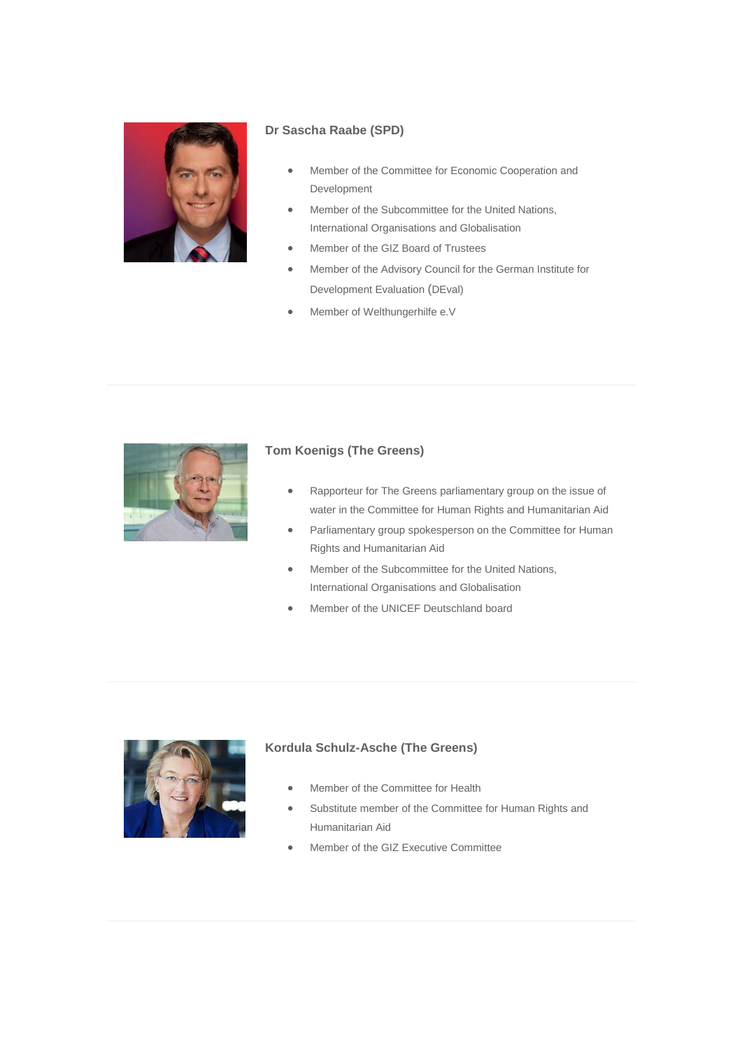

### **Dr Sascha Raabe (SPD)**

- Member of the Committee for Economic Cooperation and Development
- Member of the Subcommittee for the United Nations, International Organisations and Globalisation
- Member of the GIZ Board of Trustees
- Member of the Advisory Council for the German Institute for Development Evaluation (DEval)
- Member of Welthungerhilfe e.V



### **Tom Koenigs (The Greens)**

- Rapporteur for The Greens parliamentary group on the issue of water in the Committee for Human Rights and Humanitarian Aid
- Parliamentary group spokesperson on the Committee for Human Rights and Humanitarian Aid
- Member of the Subcommittee for the United Nations, International Organisations and Globalisation
- Member of the UNICEF Deutschland board



### **Kordula Schulz-Asche (The Greens)**

- Member of the Committee for Health
- Substitute member of the Committee for Human Rights and Humanitarian Aid
- Member of the GIZ Executive Committee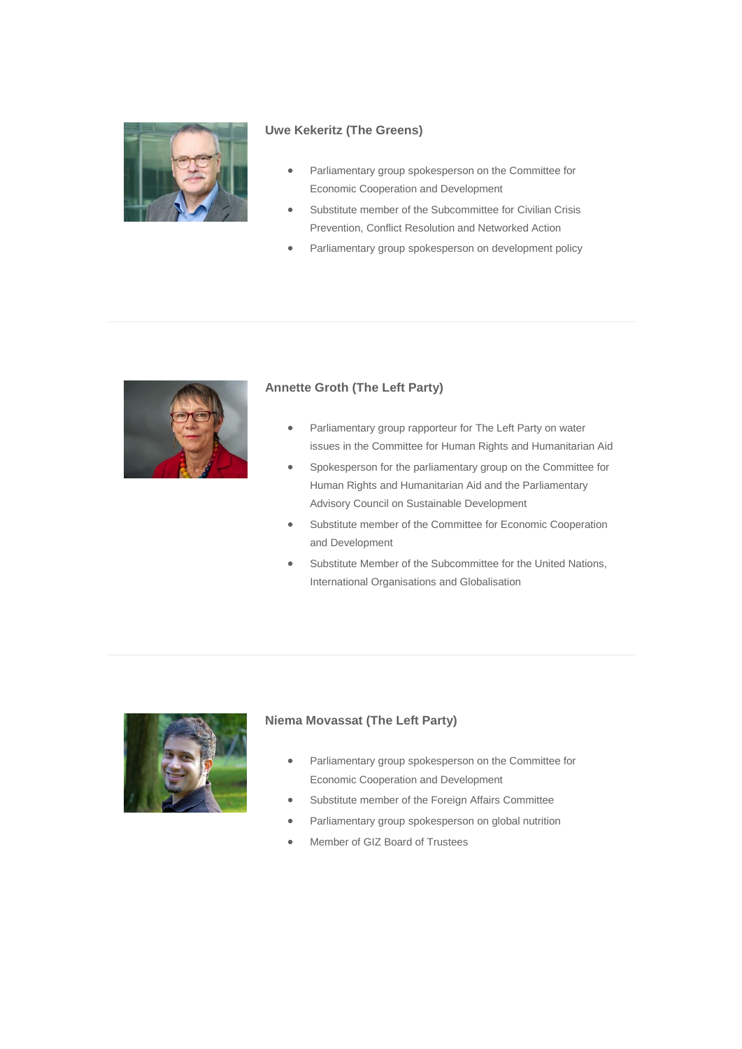

### **Uwe Kekeritz (The Greens)**

- Parliamentary group spokesperson on the Committee for Economic Cooperation and Development
- Substitute member of the Subcommittee for Civilian Crisis Prevention, Conflict Resolution and Networked Action
- Parliamentary group spokesperson on development policy



### **Annette Groth (The Left Party)**

- Parliamentary group rapporteur for The Left Party on water issues in the Committee for Human Rights and Humanitarian Aid
- Spokesperson for the parliamentary group on the Committee for Human Rights and Humanitarian Aid and the Parliamentary Advisory Council on Sustainable Development
- Substitute member of the Committee for Economic Cooperation and Development
- Substitute Member of the Subcommittee for the United Nations, International Organisations and Globalisation



### **Niema Movassat (The Left Party)**

- Parliamentary group spokesperson on the Committee for Economic Cooperation and Development
- Substitute member of the Foreign Affairs Committee
- Parliamentary group spokesperson on global nutrition
- Member of GIZ Board of Trustees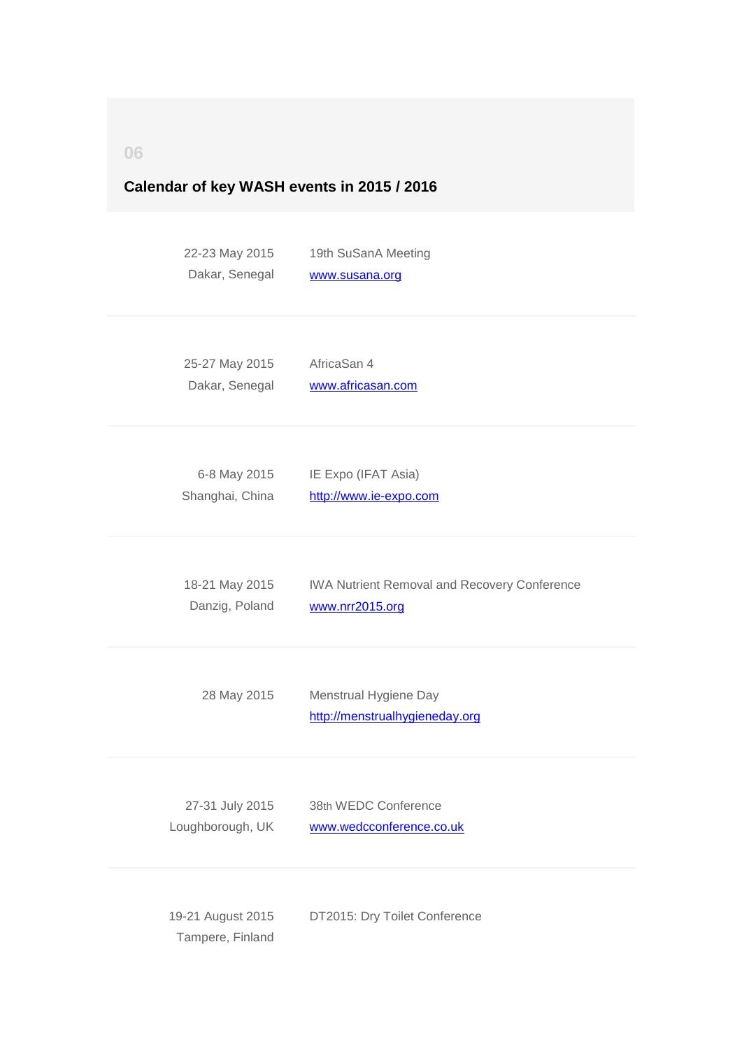<span id="page-16-0"></span>**06**

### **Calendar of key WASH events in 2015 / 2016**

22-23 May 2015 Dakar, Senegal 19th SuSanA Meeting [www.susana.org](http://germantoilet.us4.list-manage.com/track/click?u=bc3ae3e573afc6e78bf46bfd1&id=c64a2c6289&e=95dd51893c)

25-27 May 2015 Dakar, Senegal AfricaSan 4 [www.africasan.com](http://germantoilet.us4.list-manage.com/track/click?u=bc3ae3e573afc6e78bf46bfd1&id=9699d47929&e=95dd51893c)

6-8 May 2015 Shanghai, China IE Expo (IFAT Asia) [http://www.ie-expo.com](http://germantoilet.us4.list-manage1.com/track/click?u=bc3ae3e573afc6e78bf46bfd1&id=e9c984bc5f&e=95dd51893c)

18-21 May 2015 Danzig, Poland IWA Nutrient Removal and Recovery Conference [www.nrr2015.org](http://germantoilet.us4.list-manage2.com/track/click?u=bc3ae3e573afc6e78bf46bfd1&id=b80ebc7ece&e=95dd51893c)

28 May 2015 Menstrual Hygiene Day [http://menstrualhygieneday.org](http://germantoilet.us4.list-manage1.com/track/click?u=bc3ae3e573afc6e78bf46bfd1&id=3e7203688f&e=95dd51893c)

27-31 July 2015 Loughborough, UK 38th WEDC Conference [www.wedcconference.co.uk](http://germantoilet.us4.list-manage.com/track/click?u=bc3ae3e573afc6e78bf46bfd1&id=cc33c44122&e=95dd51893c)

19-21 August 2015 Tampere, Finland DT2015: Dry Toilet Conference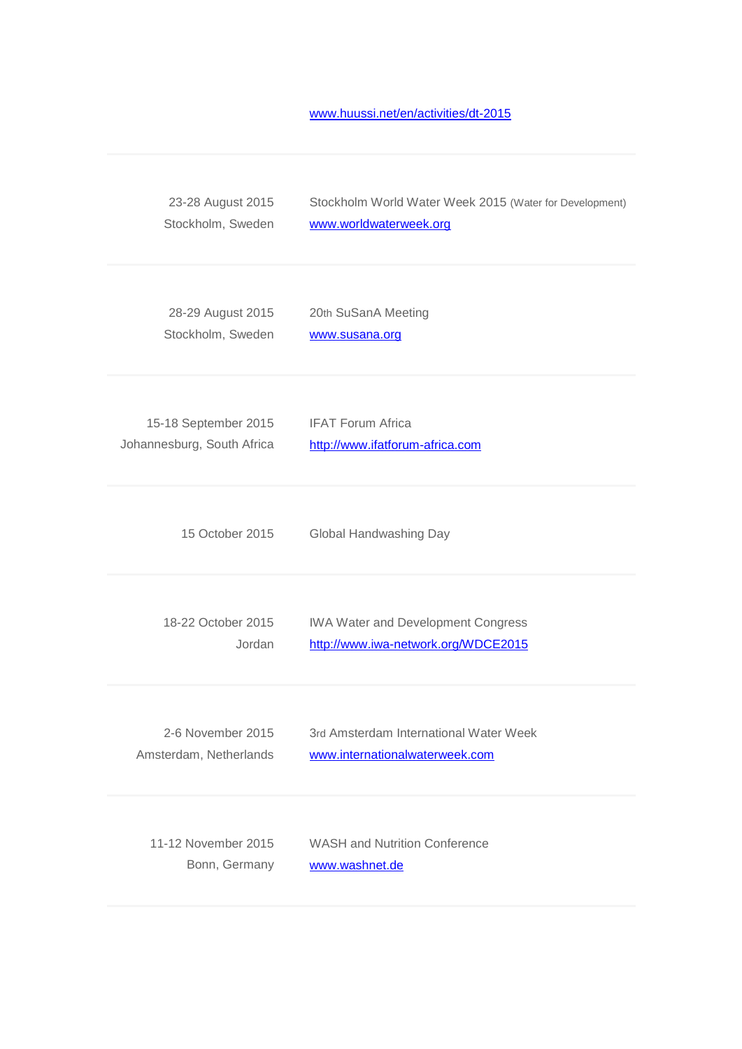[www.huussi.net/en/activities/dt-2015](http://germantoilet.us4.list-manage.com/track/click?u=bc3ae3e573afc6e78bf46bfd1&id=9f85b1321c&e=95dd51893c)

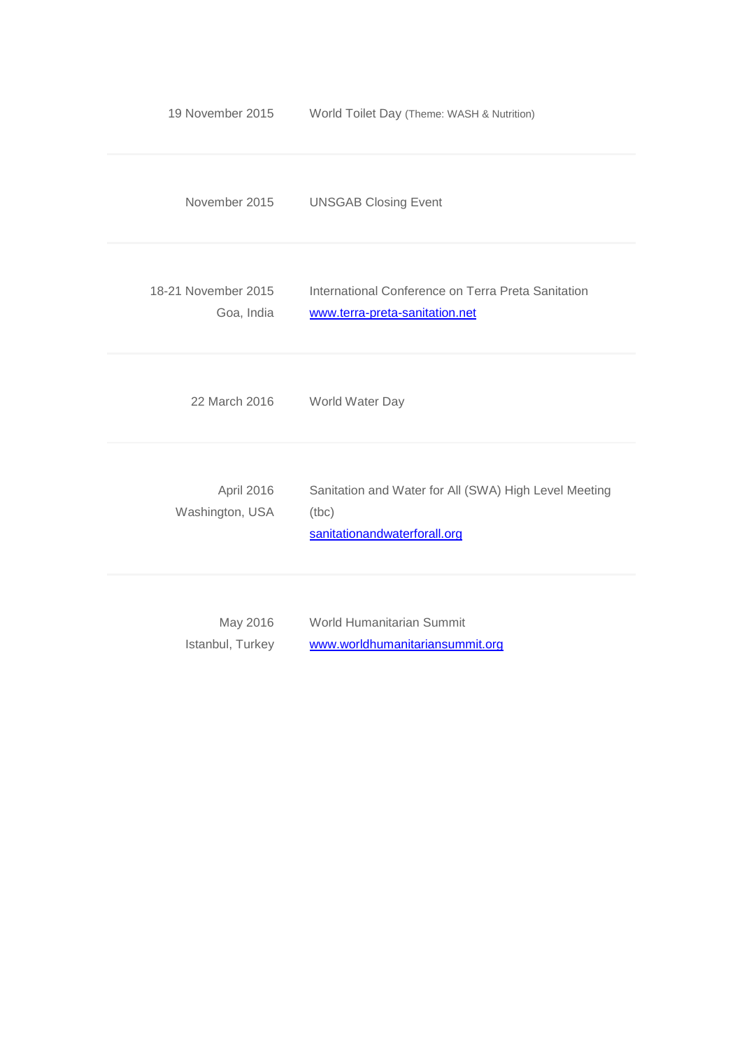| 19 November 2015                  | World Toilet Day (Theme: WASH & Nutrition)                                                     |
|-----------------------------------|------------------------------------------------------------------------------------------------|
| November 2015                     | <b>UNSGAB Closing Event</b>                                                                    |
| 18-21 November 2015<br>Goa, India | International Conference on Terra Preta Sanitation<br>www.terra-preta-sanitation.net           |
| 22 March 2016                     | World Water Day                                                                                |
| April 2016<br>Washington, USA     | Sanitation and Water for All (SWA) High Level Meeting<br>(tbc)<br>sanitationandwaterforall.org |
| May 2016<br>Istanbul, Turkey      | World Humanitarian Summit<br>www.worldhumanitariansummit.org                                   |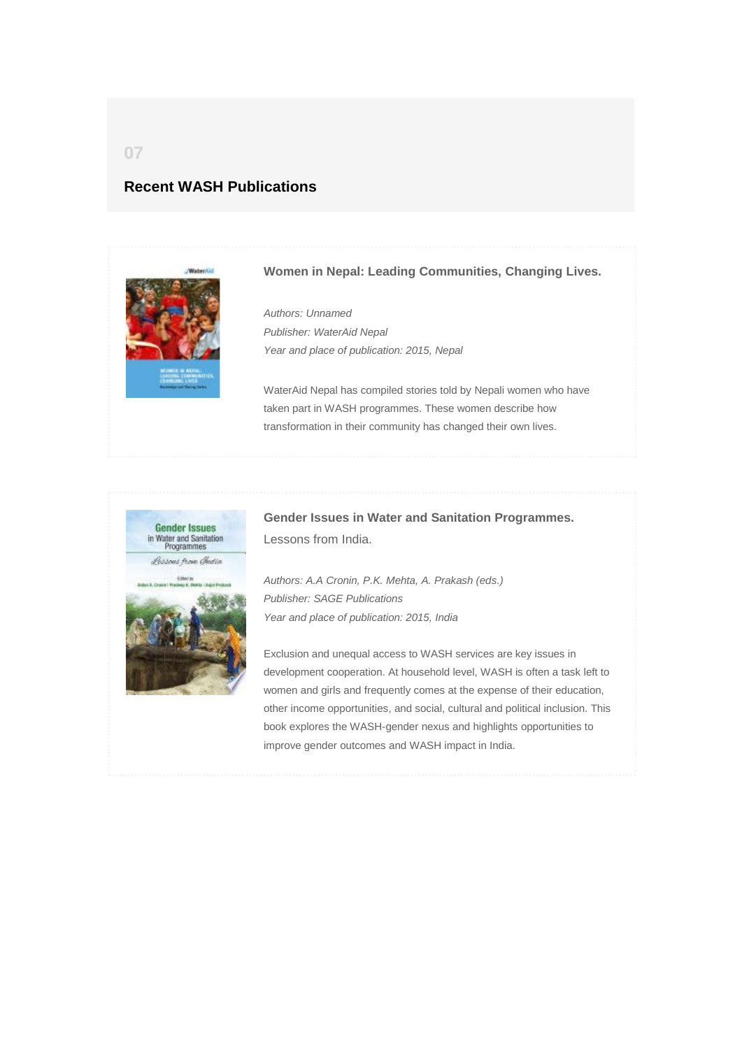## <span id="page-19-0"></span>**Recent WASH Publications**



### **Women in Nepal: Leading Communities, Changing Lives.**

*Authors: Unnamed Publisher: WaterAid Nepal Year and place of publication: 2015, Nepal*

WaterAid Nepal has compiled stories told by Nepali women who have taken part in WASH programmes. These women describe how transformation in their community has changed their own lives.



**Gender Issues in Water and Sanitation Programmes.** Lessons from India.

*Authors: A.A Cronin, P.K. Mehta, A. Prakash (eds.) Publisher: SAGE Publications Year and place of publication: 2015, India*

Exclusion and unequal access to WASH services are key issues in development cooperation. At household level, WASH is often a task left to women and girls and frequently comes at the expense of their education, other income opportunities, and social, cultural and political inclusion. This book explores the WASH-gender nexus and highlights opportunities to improve gender outcomes and WASH impact in India.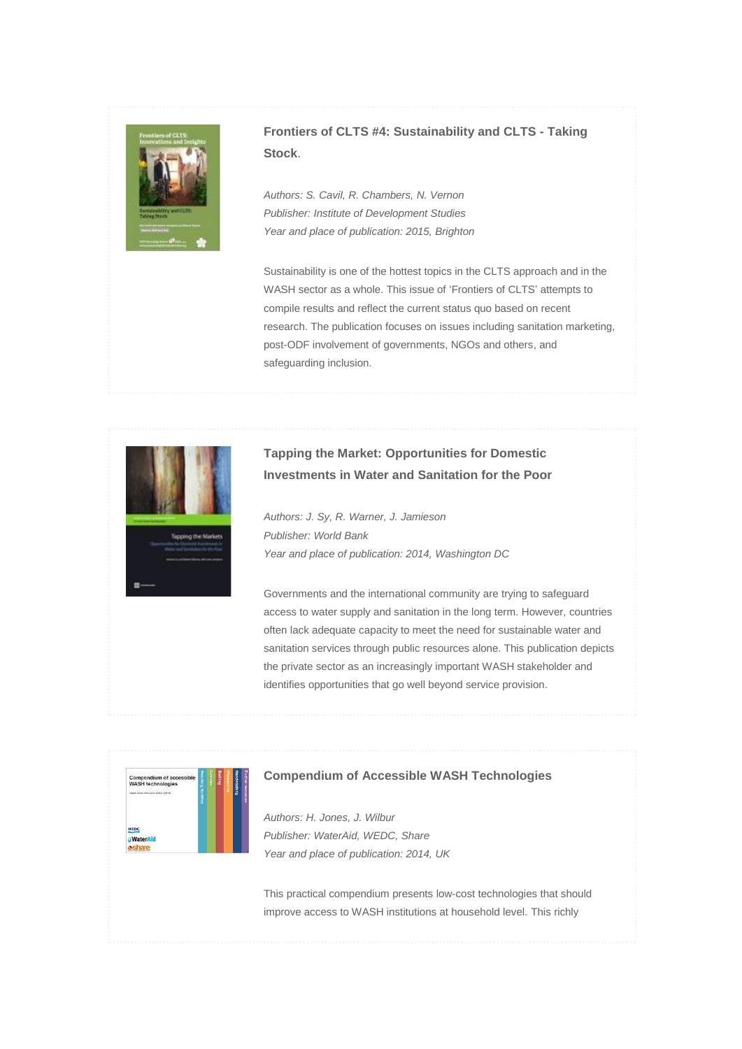

## **Frontiers of CLTS #4: Sustainability and CLTS - Taking Stock**.

*Authors: S. Cavil, R. Chambers, N. Vernon Publisher: Institute of Development Studies Year and place of publication: 2015, Brighton*

Sustainability is one of the hottest topics in the CLTS approach and in the WASH sector as a whole. This issue of 'Frontiers of CLTS' attempts to compile results and reflect the current status quo based on recent research. The publication focuses on issues including sanitation marketing, post-ODF involvement of governments, NGOs and others, and safeguarding inclusion.



## **Tapping the Market: Opportunities for Domestic Investments in Water and Sanitation for the Poor**

*Authors: J. Sy, R. Warner, J. Jamieson Publisher: World Bank Year and place of publication: 2014, Washington DC*

Governments and the international community are trying to safeguard access to water supply and sanitation in the long term. However, countries often lack adequate capacity to meet the need for sustainable water and sanitation services through public resources alone. This publication depicts the private sector as an increasingly important WASH stakeholder and identifies opportunities that go well beyond service provision.



### **Compendium of Accessible WASH Technologies**

*Authors: H. Jones, J. Wilbur Publisher: WaterAid, WEDC, Share Year and place of publication: 2014, UK*

This practical compendium presents low-cost technologies that should improve access to WASH institutions at household level. This richly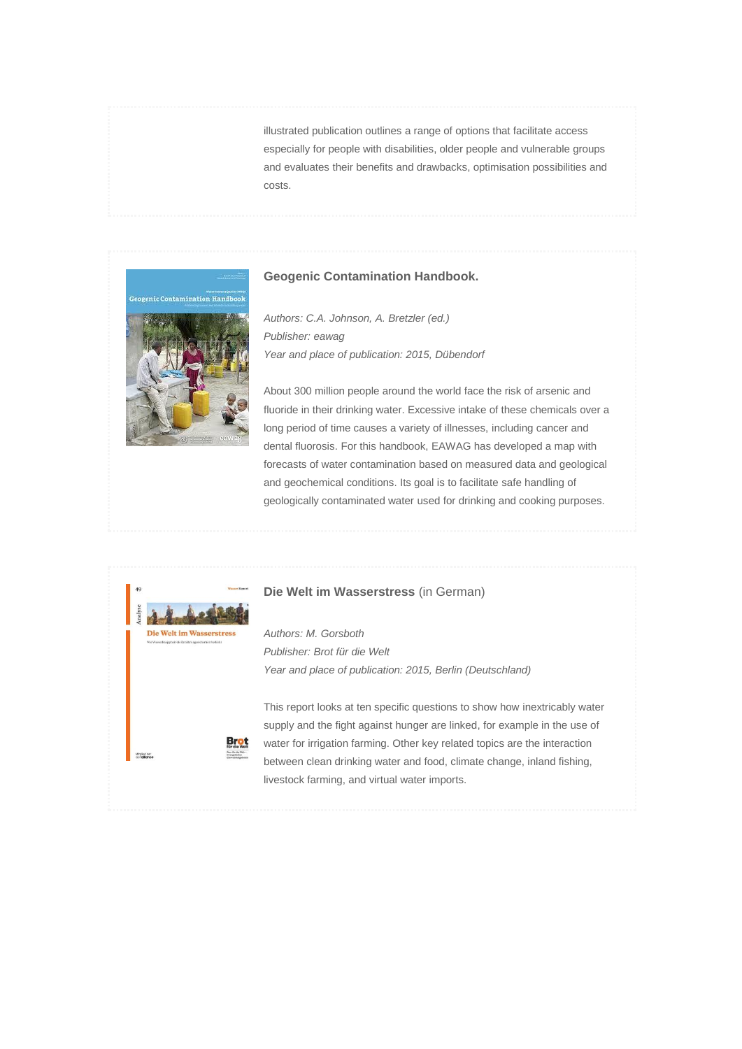illustrated publication outlines a range of options that facilitate access especially for people with disabilities, older people and vulnerable groups and evaluates their benefits and drawbacks, optimisation possibilities and costs.

#### **Geogenic Contamination Handbook.**

*Authors: C.A. Johnson, A. Bretzler (ed.) Publisher: eawag Year and place of publication: 2015, Dübendorf*

About 300 million people around the world face the risk of arsenic and fluoride in their drinking water. Excessive intake of these chemicals over a long period of time causes a variety of illnesses, including cancer and dental fluorosis. For this handbook, EAWAG has developed a map with forecasts of water contamination based on measured data and geological and geochemical conditions. Its goal is to facilitate safe handling of geologically contaminated water used for drinking and cooking purposes.

### **Die Welt im Wasserstress** (in German)

*Authors: M. Gorsboth Publisher: Brot für die Welt Year and place of publication: 2015, Berlin (Deutschland)*

This report looks at ten specific questions to show how inextricably water supply and the fight against hunger are linked, for example in the use of water for irrigation farming. Other key related topics are the interaction between clean drinking water and food, climate change, inland fishing, livestock farming, and virtual water imports.



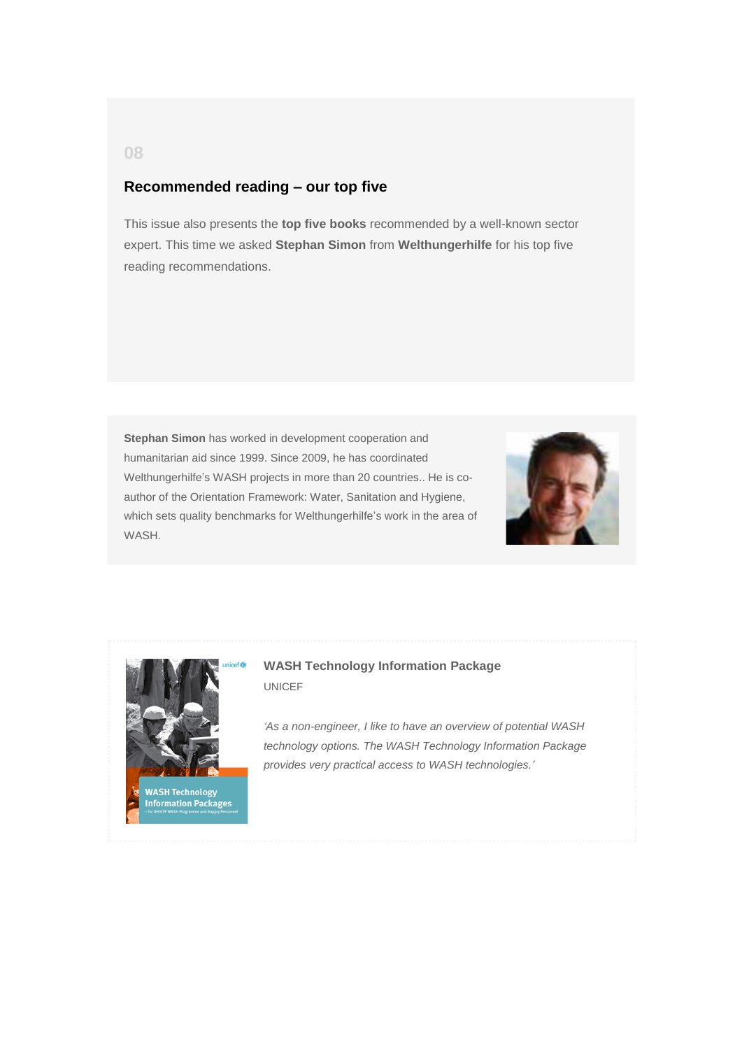## **Recommended reading – our top five**

This issue also presents the **top five books** recommended by a well-known sector expert. This time we asked **Stephan Simon** from **Welthungerhilfe** for his top five reading recommendations.

**Stephan Simon** has worked in development cooperation and humanitarian aid since 1999. Since 2009, he has coordinated Welthungerhilfe's WASH projects in more than 20 countries.. He is coauthor of the Orientation Framework: Water, Sanitation and Hygiene, which sets quality benchmarks for Welthungerhilfe's work in the area of WASH.





WASH Technology<br>Information Packages

**WASH Technology Information Package** UNICEF

*'As a non-engineer, I like to have an overview of potential WASH technology options. The WASH Technology Information Package provides very practical access to WASH technologies.'*

<span id="page-22-0"></span>**08**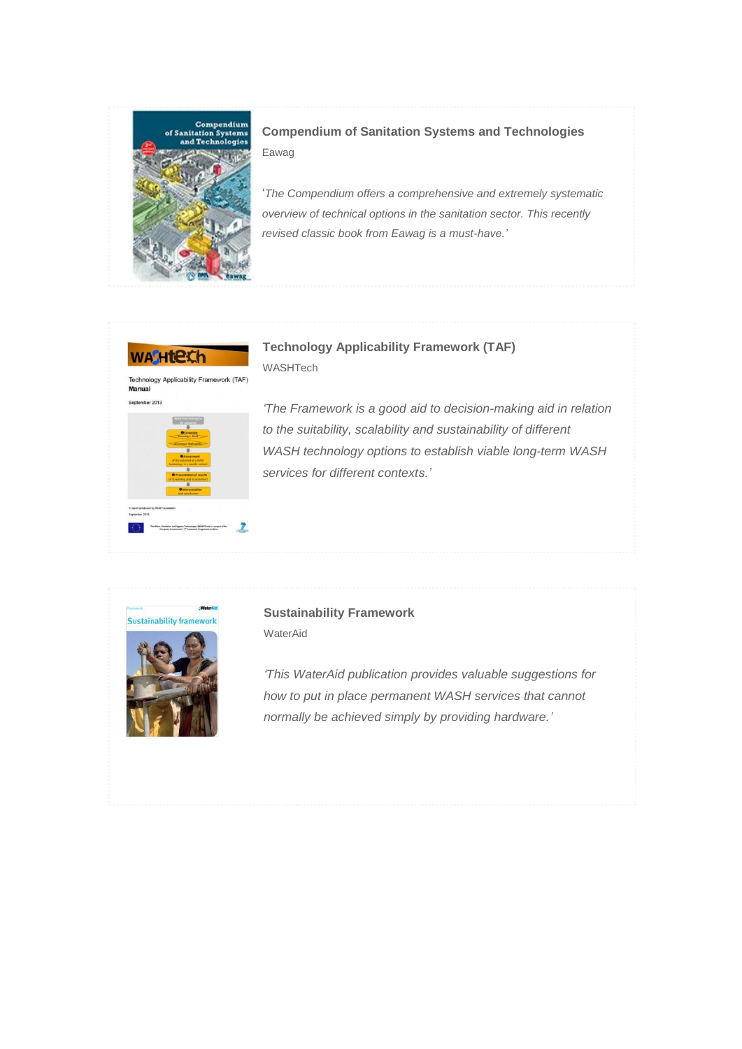

**Compendium of Sanitation Systems and Technologies** Eawag

'*The Compendium offers a comprehensive and extremely systematic overview of technical options in the sanitation sector. This recently revised classic book from Eawag is a must-have.'*



**Technology Applicability Framework (TAF)** WASHTech



*'The Framework is a good aid to decision-making aid in relation to the suitability, scalability and sustainability of different WASH technology options to establish viable long-term WASH services for different contexts.'*



## **Sustainability Framework** WaterAid

*'This WaterAid publication provides valuable suggestions for how to put in place permanent WASH services that cannot normally be achieved simply by providing hardware.'*